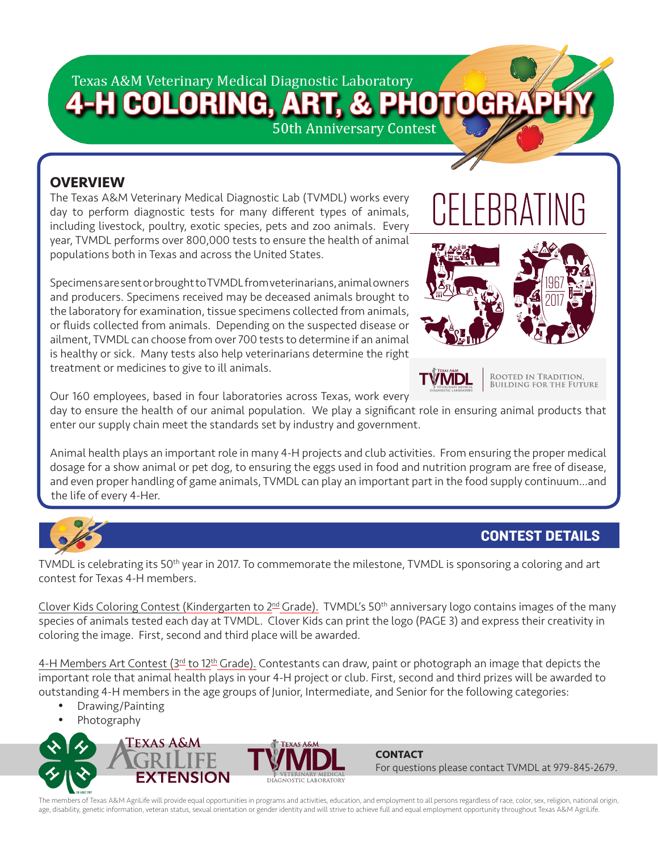# Texas A&M Veterinary Medical Diagnostic Laboratory

# 4-H COLORING, A **PHOTOGRA**

50th Anniversary Contest

## **OVERVIEW**

The Texas A&M Veterinary Medical Diagnostic Lab (TVMDL) works every day to perform diagnostic tests for many different types of animals, including livestock, poultry, exotic species, pets and zoo animals. Every year, TVMDL performs over 800,000 tests to ensure the health of animal populations both in Texas and across the United States.

Specimens are sent or brought to TVMDL from veterinarians, animal owners and producers. Specimens received may be deceased animals brought to the laboratory for examination, tissue specimens collected from animals, or fluids collected from animals. Depending on the suspected disease or ailment, TVMDL can choose from over 700 tests to determine if an animal is healthy or sick. Many tests also help veterinarians determine the right treatment or medicines to give to ill animals.



**TVMD** 

Rooted in Tradition,<br>Building for the Future

Our 160 employees, based in four laboratories across Texas, work every

day to ensure the health of our animal population. We play a significant role in ensuring animal products that enter our supply chain meet the standards set by industry and government.

Animal health plays an important role in many 4-H projects and club activities. From ensuring the proper medical dosage for a show animal or pet dog, to ensuring the eggs used in food and nutrition program are free of disease, and even proper handling of game animals, TVMDL can play an important part in the food supply continuum…and the life of every 4-Her.



# CONTEST DETAILS

TVMDL is celebrating its 50th year in 2017. To commemorate the milestone, TVMDL is sponsoring a coloring and art contest for Texas 4-H members.

Clover Kids Coloring Contest (Kindergarten to 2<sup>nd</sup> Grade). TVMDL's 50<sup>th</sup> anniversary logo contains images of the many species of animals tested each day at TVMDL. Clover Kids can print the logo (PAGE 3) and express their creativity in coloring the image. First, second and third place will be awarded.

4-H Members Art Contest ( $3<sup>rd</sup>$  to  $12<sup>th</sup>$  Grade). Contestants can draw, paint or photograph an image that depicts the important role that animal health plays in your 4-H project or club. First, second and third prizes will be awarded to outstanding 4-H members in the age groups of Junior, Intermediate, and Senior for the following categories:

- Drawing/Painting
- **Photography**





**CONTACT** For questions please contact TVMDL at 979-845-2679.

The members of Texas A&M AgriLife will provide equal opportunities in programs and activities, education, and employment to all persons regardless of race, color, sex, religion, national origin, age, disability, genetic information, veteran status, sexual orientation or gender identity and will strive to achieve full and equal employment opportunity throughout Texas A&M AgriLife.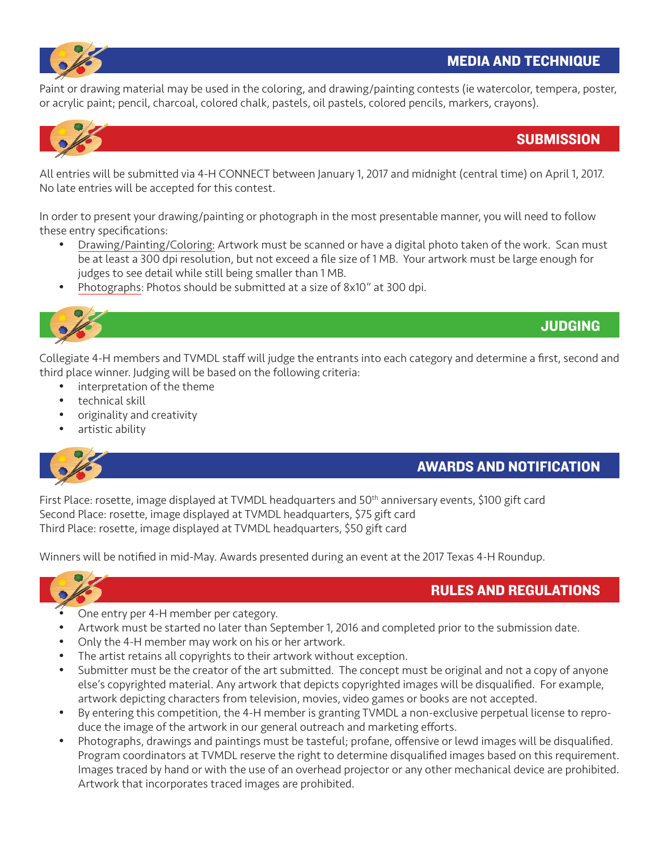

Paint or drawing material may be used in the coloring, and drawing/painting contests (ie watercolor, tempera, poster, or acrylic paint; pencil, charcoal, colored chalk, pastels, oil pastels, colored pencils, markers, crayons).



#### **SUBMISSION**

All entries will be submitted via 4-H CONNECT between January 1, 2017 and midnight (central time) on April 1, 2017. No late entries will be accepted for this contest.

In order to present your drawing/painting or photograph in the most presentable manner, you will need to follow these entry specifications:

- Drawing/Painting/Coloring: Artwork must be scanned or have a digital photo taken of the work. Scan must be at least a 300 dpi resolution, but not exceed a file size of 1 MB. Your artwork must be large enough for judges to see detail while still being smaller than 1 MB.
- Photographs: Photos should be submitted at a size of 8x10" at 300 dpi.



## JUDGING

Collegiate 4-H members and TVMDL staff will judge the entrants into each category and determine a first, second and third place winner. Judging will be based on the following criteria:

- interpretation of the theme
- technical skill
- originality and creativity
- artistic ability



### AWARDS AND NOTIFICATION

RULES AND REGULATIONS

First Place: rosette, image displayed at TVMDL headquarters and 50th anniversary events, \$100 gift card Second Place: rosette, image displayed at TVMDL headquarters, \$75 gift card Third Place: rosette, image displayed at TVMDL headquarters, \$50 gift card

Winners will be notified in mid-May. Awards presented during an event at the 2017 Texas 4-H Roundup.



#### One entry per 4-H member per category.

- Artwork must be started no later than September 1, 2016 and completed prior to the submission date.
- Only the 4-H member may work on his or her artwork.
- The artist retains all copyrights to their artwork without exception.
- Submitter must be the creator of the art submitted. The concept must be original and not a copy of anyone else's copyrighted material. Any artwork that depicts copyrighted images will be disqualified. For example, artwork depicting characters from television, movies, video games or books are not accepted.
- • By entering this competition, the 4-H member is granting TVMDL a non-exclusive perpetual license to reproduce the image of the artwork in our general outreach and marketing efforts.
- Photographs, drawings and paintings must be tasteful; profane, offensive or lewd images will be disqualified. Program coordinators at TVMDL reserve the right to determine disqualified images based on this requirement. Images traced by hand or with the use of an overhead projector or any other mechanical device are prohibited. Artwork that incorporates traced images are prohibited.